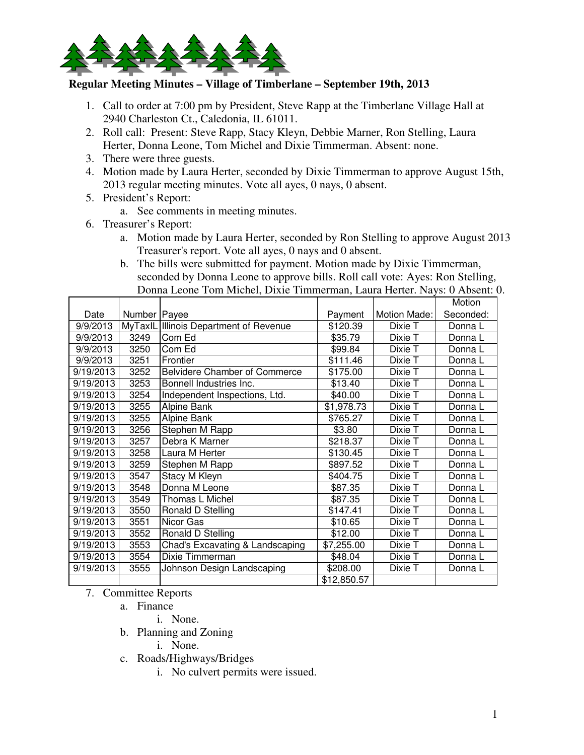

## **Regular Meeting Minutes – Village of Timberlane – September 19th, 2013**

- 1. Call to order at 7:00 pm by President, Steve Rapp at the Timberlane Village Hall at 2940 Charleston Ct., Caledonia, IL 61011.
- 2. Roll call: Present: Steve Rapp, Stacy Kleyn, Debbie Marner, Ron Stelling, Laura Herter, Donna Leone, Tom Michel and Dixie Timmerman. Absent: none.
- 3. There were three guests.
- 4. Motion made by Laura Herter, seconded by Dixie Timmerman to approve August 15th, 2013 regular meeting minutes. Vote all ayes, 0 nays, 0 absent.
- 5. President's Report:
	- a. See comments in meeting minutes.
- 6. Treasurer's Report:
	- a. Motion made by Laura Herter, seconded by Ron Stelling to approve August 2013 Treasurer's report. Vote all ayes, 0 nays and 0 absent.
	- b. The bills were submitted for payment. Motion made by Dixie Timmerman, seconded by Donna Leone to approve bills. Roll call vote: Ayes: Ron Stelling, Donna Leone Tom Michel, Dixie Timmerman, Laura Herter. Nays: 0 Absent: 0.

|           |                |                                        |             |              | Motion    |
|-----------|----------------|----------------------------------------|-------------|--------------|-----------|
| Date      | Number   Payee |                                        | Payment     | Motion Made: | Seconded: |
| 9/9/2013  |                | MyTaxIL Illinois Department of Revenue | \$120.39    | Dixie T      | Donna L   |
| 9/9/2013  | 3249           | Com Ed                                 | \$35.79     | Dixie T      | Donna L   |
| 9/9/2013  | 3250           | Com Ed                                 | \$99.84     | Dixie T      | Donna L   |
| 9/9/2013  | 3251           | Frontier                               | \$111.46    | Dixie T      | Donna L   |
| 9/19/2013 | 3252           | <b>Belvidere Chamber of Commerce</b>   | \$175.00    | Dixie T      | Donna L   |
| 9/19/2013 | 3253           | Bonnell Industries Inc.                | \$13.40     | Dixie T      | Donna L   |
| 9/19/2013 | 3254           | Independent Inspections, Ltd.          | \$40.00     | Dixie T      | Donna L   |
| 9/19/2013 | 3255           | Alpine Bank                            | \$1,978.73  | Dixie T      | Donna L   |
| 9/19/2013 | 3255           | Alpine Bank                            | \$765.27    | Dixie T      | Donna L   |
| 9/19/2013 | 3256           | Stephen M Rapp                         | \$3.80      | Dixie T      | Donna L   |
| 9/19/2013 | 3257           | Debra K Marner                         | \$218.37    | Dixie T      | Donna L   |
| 9/19/2013 | 3258           | Laura M Herter                         | \$130.45    | Dixie T      | Donna L   |
| 9/19/2013 | 3259           | Stephen M Rapp                         | \$897.52    | Dixie T      | Donna L   |
| 9/19/2013 | 3547           | Stacy M Kleyn                          | \$404.75    | Dixie T      | Donna L   |
| 9/19/2013 | 3548           | Donna M Leone                          | \$87.35     | Dixie T      | Donna L   |
| 9/19/2013 | 3549           | Thomas L Michel                        | \$87.35     | Dixie T      | Donna L   |
| 9/19/2013 | 3550           | Ronald D Stelling                      | \$147.41    | Dixie T      | Donna L   |
| 9/19/2013 | 3551           | Nicor Gas                              | \$10.65     | Dixie T      | Donna L   |
| 9/19/2013 | 3552           | Ronald D Stelling                      | \$12.00     | Dixie T      | Donna L   |
| 9/19/2013 | 3553           | Chad's Excavating & Landscaping        | \$7,255.00  | Dixie T      | Donna L   |
| 9/19/2013 | 3554           | Dixie Timmerman                        | \$48.04     | Dixie T      | Donna L   |
| 9/19/2013 | 3555           | Johnson Design Landscaping             | \$208.00    | Dixie T      | Donna L   |
|           |                |                                        | \$12,850.57 |              |           |

7. Committee Reports

- a. Finance
	- i. None.
- b. Planning and Zoning
	- i. None.
- c. Roads/Highways/Bridges
	- i. No culvert permits were issued.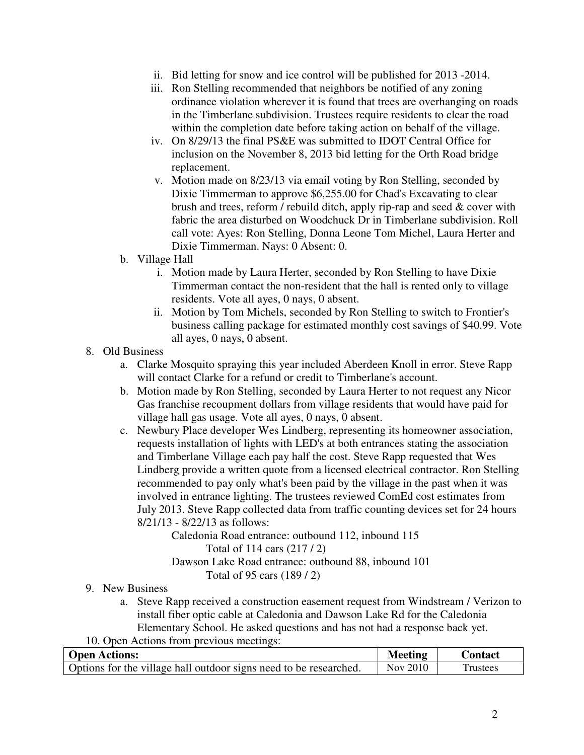- ii. Bid letting for snow and ice control will be published for 2013 -2014.
- iii. Ron Stelling recommended that neighbors be notified of any zoning ordinance violation wherever it is found that trees are overhanging on roads in the Timberlane subdivision. Trustees require residents to clear the road within the completion date before taking action on behalf of the village.
- iv. On 8/29/13 the final PS&E was submitted to IDOT Central Office for inclusion on the November 8, 2013 bid letting for the Orth Road bridge replacement.
- v. Motion made on 8/23/13 via email voting by Ron Stelling, seconded by Dixie Timmerman to approve \$6,255.00 for Chad's Excavating to clear brush and trees, reform / rebuild ditch, apply rip-rap and seed & cover with fabric the area disturbed on Woodchuck Dr in Timberlane subdivision. Roll call vote: Ayes: Ron Stelling, Donna Leone Tom Michel, Laura Herter and Dixie Timmerman. Nays: 0 Absent: 0.
- b. Village Hall
	- i. Motion made by Laura Herter, seconded by Ron Stelling to have Dixie Timmerman contact the non-resident that the hall is rented only to village residents. Vote all ayes, 0 nays, 0 absent.
	- ii. Motion by Tom Michels, seconded by Ron Stelling to switch to Frontier's business calling package for estimated monthly cost savings of \$40.99. Vote all ayes, 0 nays, 0 absent.
- 8. Old Business
	- a. Clarke Mosquito spraying this year included Aberdeen Knoll in error. Steve Rapp will contact Clarke for a refund or credit to Timberlane's account.
	- b. Motion made by Ron Stelling, seconded by Laura Herter to not request any Nicor Gas franchise recoupment dollars from village residents that would have paid for village hall gas usage. Vote all ayes, 0 nays, 0 absent.
	- c. Newbury Place developer Wes Lindberg, representing its homeowner association, requests installation of lights with LED's at both entrances stating the association and Timberlane Village each pay half the cost. Steve Rapp requested that Wes Lindberg provide a written quote from a licensed electrical contractor. Ron Stelling recommended to pay only what's been paid by the village in the past when it was involved in entrance lighting. The trustees reviewed ComEd cost estimates from July 2013. Steve Rapp collected data from traffic counting devices set for 24 hours 8/21/13 - 8/22/13 as follows:

 Caledonia Road entrance: outbound 112, inbound 115 Total of 114 cars (217 / 2) Dawson Lake Road entrance: outbound 88, inbound 101 Total of 95 cars (189 / 2)

- 9. New Business
	- a. Steve Rapp received a construction easement request from Windstream / Verizon to install fiber optic cable at Caledonia and Dawson Lake Rd for the Caledonia Elementary School. He asked questions and has not had a response back yet.
- 10. Open Actions from previous meetings:

| <b>Open Actions:</b>                                              | Meeting  | <b>Contact</b> |
|-------------------------------------------------------------------|----------|----------------|
| Options for the village hall outdoor signs need to be researched. | Nov 2010 | <b>rustees</b> |